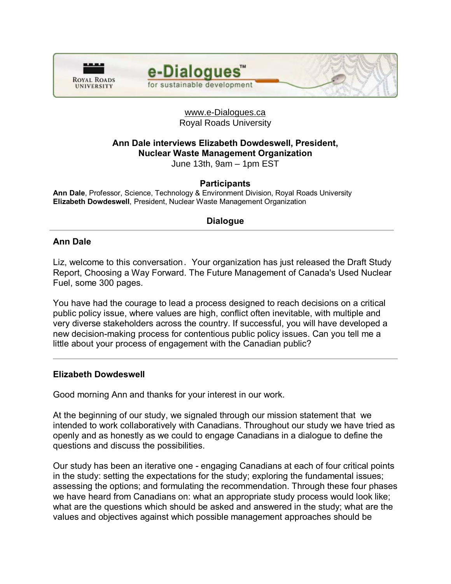



### www.e-Dialogues.ca Royal Roads University

# **Ann Dale interviews Elizabeth Dowdeswell, President, Nuclear Waste Management Organization**

June 13th, 9am – 1pm EST

### **Participants**

**Ann Dale**, Professor, Science, Technology & Environment Division, Royal Roads University **Elizabeth Dowdeswell**, President, Nuclear Waste Management Organization

### **Dialogue**

#### **Ann Dale**

Liz, welcome to this conversation. Your organization has just released the Draft Study Report, Choosing a Way Forward. The Future Management of Canada's Used Nuclear Fuel, some 300 pages.

You have had the courage to lead a process designed to reach decisions on a critical public policy issue, where values are high, conflict often inevitable, with multiple and very diverse stakeholders across the country. If successful, you will have developed a new decision-making process for contentious public policy issues. Can you tell me a little about your process of engagement with the Canadian public?

#### **Elizabeth Dowdeswell**

Good morning Ann and thanks for your interest in our work.

At the beginning of our study, we signaled through our mission statement that we intended to work collaboratively with Canadians. Throughout our study we have tried as openly and as honestly as we could to engage Canadians in a dialogue to define the questions and discuss the possibilities.

Our study has been an iterative one - engaging Canadians at each of four critical points in the study: setting the expectations for the study; exploring the fundamental issues; assessing the options; and formulating the recommendation. Through these four phases we have heard from Canadians on: what an appropriate study process would look like; what are the questions which should be asked and answered in the study; what are the values and objectives against which possible management approaches should be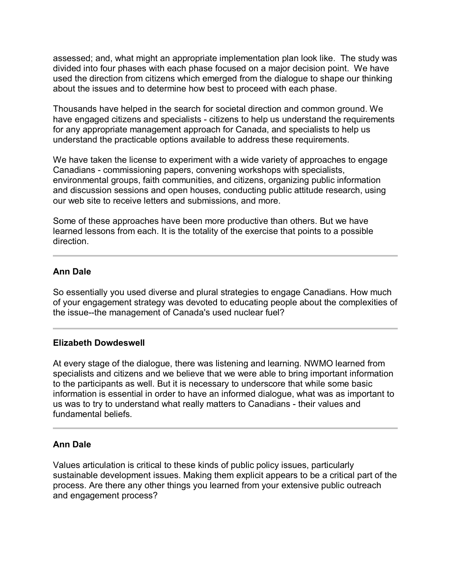assessed; and, what might an appropriate implementation plan look like. The study was divided into four phases with each phase focused on a major decision point. We have used the direction from citizens which emerged from the dialogue to shape our thinking about the issues and to determine how best to proceed with each phase.

Thousands have helped in the search for societal direction and common ground. We have engaged citizens and specialists - citizens to help us understand the requirements for any appropriate management approach for Canada, and specialists to help us understand the practicable options available to address these requirements.

We have taken the license to experiment with a wide variety of approaches to engage Canadians - commissioning papers, convening workshops with specialists, environmental groups, faith communities, and citizens, organizing public information and discussion sessions and open houses, conducting public attitude research, using our web site to receive letters and submissions, and more.

Some of these approaches have been more productive than others. But we have learned lessons from each. It is the totality of the exercise that points to a possible direction.

### **Ann Dale**

So essentially you used diverse and plural strategies to engage Canadians. How much of your engagement strategy was devoted to educating people about the complexities of the issue--the management of Canada's used nuclear fuel?

#### **Elizabeth Dowdeswell**

At every stage of the dialogue, there was listening and learning. NWMO learned from specialists and citizens and we believe that we were able to bring important information to the participants as well. But it is necessary to underscore that while some basic information is essential in order to have an informed dialogue, what was as important to us was to try to understand what really matters to Canadians - their values and fundamental beliefs.

### **Ann Dale**

Values articulation is critical to these kinds of public policy issues, particularly sustainable development issues. Making them explicit appears to be a critical part of the process. Are there any other things you learned from your extensive public outreach and engagement process?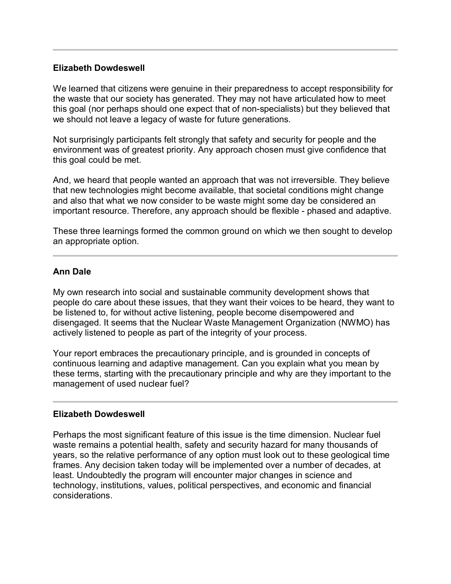#### **Elizabeth Dowdeswell**

We learned that citizens were genuine in their preparedness to accept responsibility for the waste that our society has generated. They may not have articulated how to meet this goal (nor perhaps should one expect that of non-specialists) but they believed that we should not leave a legacy of waste for future generations.

Not surprisingly participants felt strongly that safety and security for people and the environment was of greatest priority. Any approach chosen must give confidence that this goal could be met.

And, we heard that people wanted an approach that was not irreversible. They believe that new technologies might become available, that societal conditions might change and also that what we now consider to be waste might some day be considered an important resource. Therefore, any approach should be flexible - phased and adaptive.

These three learnings formed the common ground on which we then sought to develop an appropriate option.

#### **Ann Dale**

My own research into social and sustainable community development shows that people do care about these issues, that they want their voices to be heard, they want to be listened to, for without active listening, people become disempowered and disengaged. It seems that the Nuclear Waste Management Organization (NWMO) has actively listened to people as part of the integrity of your process.

Your report embraces the precautionary principle, and is grounded in concepts of continuous learning and adaptive management. Can you explain what you mean by these terms, starting with the precautionary principle and why are they important to the management of used nuclear fuel?

#### **Elizabeth Dowdeswell**

Perhaps the most significant feature of this issue is the time dimension. Nuclear fuel waste remains a potential health, safety and security hazard for many thousands of years, so the relative performance of any option must look out to these geological time frames. Any decision taken today will be implemented over a number of decades, at least. Undoubtedly the program will encounter major changes in science and technology, institutions, values, political perspectives, and economic and financial considerations.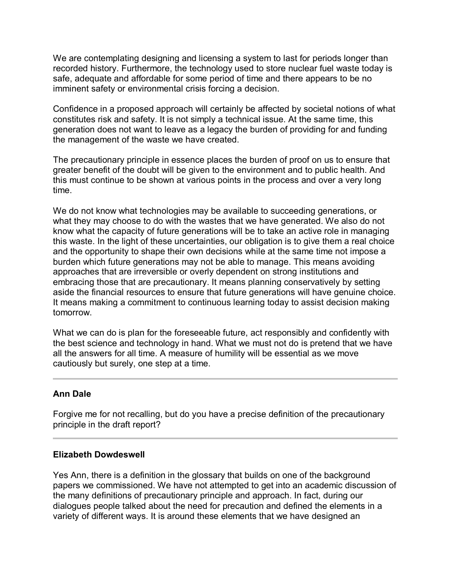We are contemplating designing and licensing a system to last for periods longer than recorded history. Furthermore, the technology used to store nuclear fuel waste today is safe, adequate and affordable for some period of time and there appears to be no imminent safety or environmental crisis forcing a decision.

Confidence in a proposed approach will certainly be affected by societal notions of what constitutes risk and safety. It is not simply a technical issue. At the same time, this generation does not want to leave as a legacy the burden of providing for and funding the management of the waste we have created.

The precautionary principle in essence places the burden of proof on us to ensure that greater benefit of the doubt will be given to the environment and to public health. And this must continue to be shown at various points in the process and over a very long time.

We do not know what technologies may be available to succeeding generations, or what they may choose to do with the wastes that we have generated. We also do not know what the capacity of future generations will be to take an active role in managing this waste. In the light of these uncertainties, our obligation is to give them a real choice and the opportunity to shape their own decisions while at the same time not impose a burden which future generations may not be able to manage. This means avoiding approaches that are irreversible or overly dependent on strong institutions and embracing those that are precautionary. It means planning conservatively by setting aside the financial resources to ensure that future generations will have genuine choice. It means making a commitment to continuous learning today to assist decision making tomorrow.

What we can do is plan for the foreseeable future, act responsibly and confidently with the best science and technology in hand. What we must not do is pretend that we have all the answers for all time. A measure of humility will be essential as we move cautiously but surely, one step at a time.

# **Ann Dale**

Forgive me for not recalling, but do you have a precise definition of the precautionary principle in the draft report?

### **Elizabeth Dowdeswell**

Yes Ann, there is a definition in the glossary that builds on one of the background papers we commissioned. We have not attempted to get into an academic discussion of the many definitions of precautionary principle and approach. In fact, during our dialogues people talked about the need for precaution and defined the elements in a variety of different ways. It is around these elements that we have designed an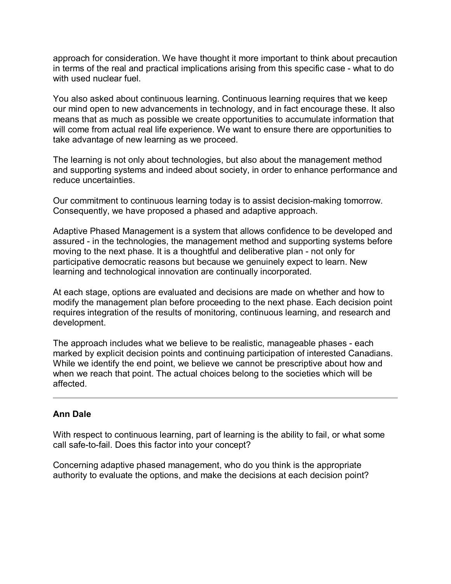approach for consideration. We have thought it more important to think about precaution in terms of the real and practical implications arising from this specific case - what to do with used nuclear fuel.

You also asked about continuous learning. Continuous learning requires that we keep our mind open to new advancements in technology, and in fact encourage these. It also means that as much as possible we create opportunities to accumulate information that will come from actual real life experience. We want to ensure there are opportunities to take advantage of new learning as we proceed.

The learning is not only about technologies, but also about the management method and supporting systems and indeed about society, in order to enhance performance and reduce uncertainties.

Our commitment to continuous learning today is to assist decision-making tomorrow. Consequently, we have proposed a phased and adaptive approach.

Adaptive Phased Management is a system that allows confidence to be developed and assured - in the technologies, the management method and supporting systems before moving to the next phase. It is a thoughtful and deliberative plan - not only for participative democratic reasons but because we genuinely expect to learn. New learning and technological innovation are continually incorporated.

At each stage, options are evaluated and decisions are made on whether and how to modify the management plan before proceeding to the next phase. Each decision point requires integration of the results of monitoring, continuous learning, and research and development.

The approach includes what we believe to be realistic, manageable phases - each marked by explicit decision points and continuing participation of interested Canadians. While we identify the end point, we believe we cannot be prescriptive about how and when we reach that point. The actual choices belong to the societies which will be affected.

# **Ann Dale**

With respect to continuous learning, part of learning is the ability to fail, or what some call safe-to-fail. Does this factor into your concept?

Concerning adaptive phased management, who do you think is the appropriate authority to evaluate the options, and make the decisions at each decision point?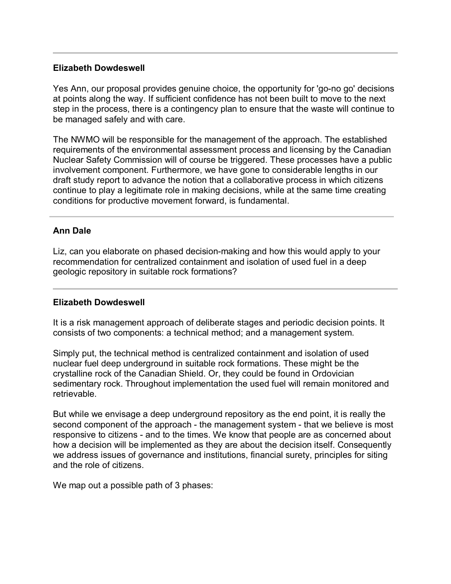#### **Elizabeth Dowdeswell**

Yes Ann, our proposal provides genuine choice, the opportunity for 'go-no go' decisions at points along the way. If sufficient confidence has not been built to move to the next step in the process, there is a contingency plan to ensure that the waste will continue to be managed safely and with care.

The NWMO will be responsible for the management of the approach. The established requirements of the environmental assessment process and licensing by the Canadian Nuclear Safety Commission will of course be triggered. These processes have a public involvement component. Furthermore, we have gone to considerable lengths in our draft study report to advance the notion that a collaborative process in which citizens continue to play a legitimate role in making decisions, while at the same time creating conditions for productive movement forward, is fundamental.

## **Ann Dale**

Liz, can you elaborate on phased decision-making and how this would apply to your recommendation for centralized containment and isolation of used fuel in a deep geologic repository in suitable rock formations?

### **Elizabeth Dowdeswell**

It is a risk management approach of deliberate stages and periodic decision points. It consists of two components: a technical method; and a management system.

Simply put, the technical method is centralized containment and isolation of used nuclear fuel deep underground in suitable rock formations. These might be the crystalline rock of the Canadian Shield. Or, they could be found in Ordovician sedimentary rock. Throughout implementation the used fuel will remain monitored and retrievable.

But while we envisage a deep underground repository as the end point, it is really the second component of the approach - the management system - that we believe is most responsive to citizens - and to the times. We know that people are as concerned about how a decision will be implemented as they are about the decision itself. Consequently we address issues of governance and institutions, financial surety, principles for siting and the role of citizens.

We map out a possible path of 3 phases: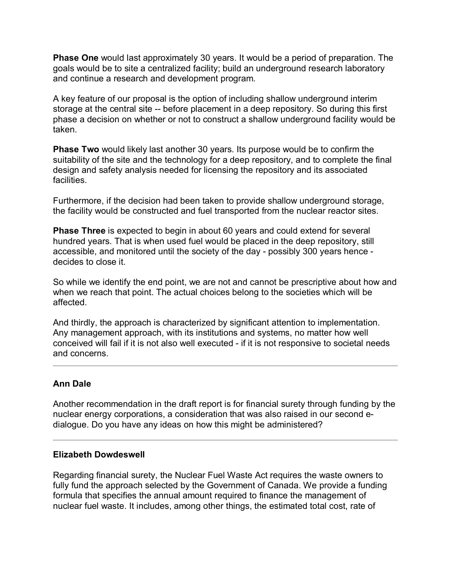**Phase One** would last approximately 30 years. It would be a period of preparation. The goals would be to site a centralized facility; build an underground research laboratory and continue a research and development program.

A key feature of our proposal is the option of including shallow underground interim storage at the central site -- before placement in a deep repository. So during this first phase a decision on whether or not to construct a shallow underground facility would be taken.

**Phase Two** would likely last another 30 years. Its purpose would be to confirm the suitability of the site and the technology for a deep repository, and to complete the final design and safety analysis needed for licensing the repository and its associated facilities.

Furthermore, if the decision had been taken to provide shallow underground storage, the facility would be constructed and fuel transported from the nuclear reactor sites.

**Phase Three** is expected to begin in about 60 years and could extend for several hundred years. That is when used fuel would be placed in the deep repository, still accessible, and monitored until the society of the day - possibly 300 years hence decides to close it.

So while we identify the end point, we are not and cannot be prescriptive about how and when we reach that point. The actual choices belong to the societies which will be affected.

And thirdly, the approach is characterized by significant attention to implementation. Any management approach, with its institutions and systems, no matter how well conceived will fail if it is not also well executed - if it is not responsive to societal needs and concerns.

# **Ann Dale**

Another recommendation in the draft report is for financial surety through funding by the nuclear energy corporations, a consideration that was also raised in our second edialogue. Do you have any ideas on how this might be administered?

### **Elizabeth Dowdeswell**

Regarding financial surety, the Nuclear Fuel Waste Act requires the waste owners to fully fund the approach selected by the Government of Canada. We provide a funding formula that specifies the annual amount required to finance the management of nuclear fuel waste. It includes, among other things, the estimated total cost, rate of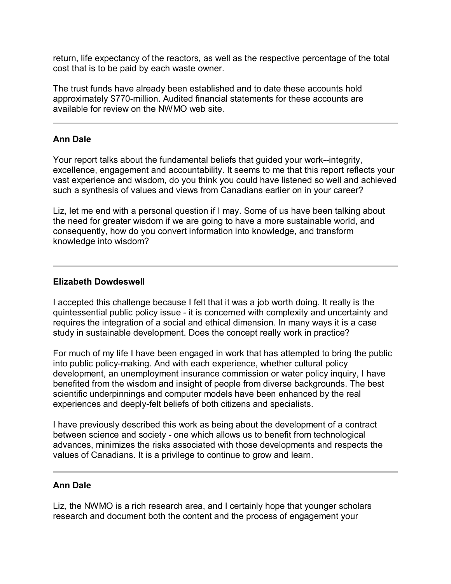return, life expectancy of the reactors, as well as the respective percentage of the total cost that is to be paid by each waste owner.

The trust funds have already been established and to date these accounts hold approximately \$770-million. Audited financial statements for these accounts are available for review on the NWMO web site.

### **Ann Dale**

Your report talks about the fundamental beliefs that guided your work--integrity, excellence, engagement and accountability. It seems to me that this report reflects your vast experience and wisdom, do you think you could have listened so well and achieved such a synthesis of values and views from Canadians earlier on in your career?

Liz, let me end with a personal question if I may. Some of us have been talking about the need for greater wisdom if we are going to have a more sustainable world, and consequently, how do you convert information into knowledge, and transform knowledge into wisdom?

## **Elizabeth Dowdeswell**

I accepted this challenge because I felt that it was a job worth doing. It really is the quintessential public policy issue - it is concerned with complexity and uncertainty and requires the integration of a social and ethical dimension. In many ways it is a case study in sustainable development. Does the concept really work in practice?

For much of my life I have been engaged in work that has attempted to bring the public into public policy-making. And with each experience, whether cultural policy development, an unemployment insurance commission or water policy inquiry, I have benefited from the wisdom and insight of people from diverse backgrounds. The best scientific underpinnings and computer models have been enhanced by the real experiences and deeply-felt beliefs of both citizens and specialists.

I have previously described this work as being about the development of a contract between science and society - one which allows us to benefit from technological advances, minimizes the risks associated with those developments and respects the values of Canadians. It is a privilege to continue to grow and learn.

### **Ann Dale**

Liz, the NWMO is a rich research area, and I certainly hope that younger scholars research and document both the content and the process of engagement your